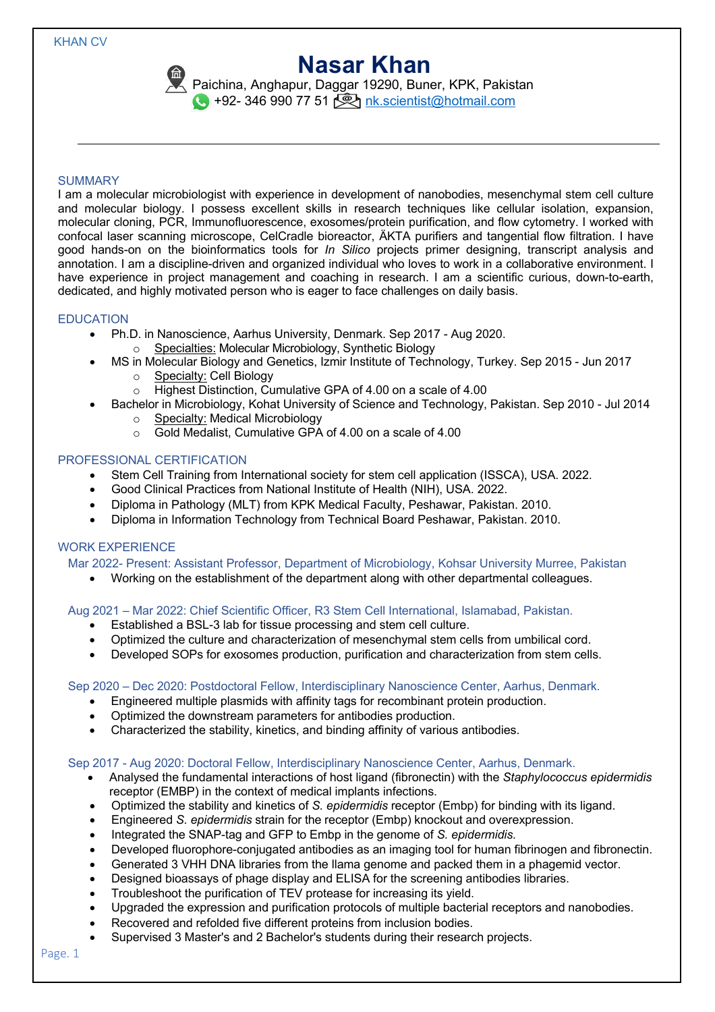# **Nasar Khan**

Paichina, Anghapur, Daggar 19290, Buner, KPK, Pakistan +92- 346 990 77 51 **9** nk.scientist@hotmail.com

### **SUMMARY**

I am a molecular microbiologist with experience in development of nanobodies, mesenchymal stem cell culture and molecular biology. I possess excellent skills in research techniques like cellular isolation, expansion, molecular cloning, PCR, Immunofluorescence, exosomes/protein purification, and flow cytometry. I worked with confocal laser scanning microscope, CelCradle bioreactor, ÄKTA purifiers and tangential flow filtration. I have good hands-on on the bioinformatics tools for *In Silico* projects primer designing, transcript analysis and annotation. I am a discipline-driven and organized individual who loves to work in a collaborative environment. I have experience in project management and coaching in research. I am a scientific curious, down-to-earth, dedicated, and highly motivated person who is eager to face challenges on daily basis.

### EDUCATION

- Ph.D. in Nanoscience, Aarhus University, Denmark. Sep 2017 Aug 2020.
	- o Specialties: Molecular Microbiology, Synthetic Biology
- MS in Molecular Biology and Genetics, Izmir Institute of Technology, Turkey. Sep 2015 Jun 2017
	- o Specialty: Cell Biology
	- o Highest Distinction, Cumulative GPA of 4.00 on a scale of 4.00
- Bachelor in Microbiology, Kohat University of Science and Technology, Pakistan. Sep 2010 Jul 2014 o Specialty: Medical Microbiology
	- o Gold Medalist, Cumulative GPA of 4.00 on a scale of 4.00

### PROFESSIONAL CERTIFICATION

- Stem Cell Training from International society for stem cell application (ISSCA), USA. 2022.
- Good Clinical Practices from National Institute of Health (NIH), USA. 2022.
- Diploma in Pathology (MLT) from KPK Medical Faculty, Peshawar, Pakistan. 2010.
- Diploma in Information Technology from Technical Board Peshawar, Pakistan. 2010.

### WORK EXPERIENCE

Mar 2022- Present: Assistant Professor, Department of Microbiology, Kohsar University Murree, Pakistan

• Working on the establishment of the department along with other departmental colleagues.

Aug 2021 – Mar 2022: Chief Scientific Officer, R3 Stem Cell International, Islamabad, Pakistan.

- Established a BSL-3 lab for tissue processing and stem cell culture.
- Optimized the culture and characterization of mesenchymal stem cells from umbilical cord.
- Developed SOPs for exosomes production, purification and characterization from stem cells.

### Sep 2020 – Dec 2020: Postdoctoral Fellow, Interdisciplinary Nanoscience Center, Aarhus, Denmark.

- Engineered multiple plasmids with affinity tags for recombinant protein production.
- Optimized the downstream parameters for antibodies production.
- Characterized the stability, kinetics, and binding affinity of various antibodies.

### Sep 2017 - Aug 2020: Doctoral Fellow, Interdisciplinary Nanoscience Center, Aarhus, Denmark.

- Analysed the fundamental interactions of host ligand (fibronectin) with the *Staphylococcus epidermidis* receptor (EMBP) in the context of medical implants infections.
- Optimized the stability and kinetics of *S. epidermidis* receptor (Embp) for binding with its ligand.
- Engineered *S. epidermidis* strain for the receptor (Embp) knockout and overexpression.
- Integrated the SNAP-tag and GFP to Embp in the genome of *S. epidermidis.*
- Developed fluorophore-conjugated antibodies as an imaging tool for human fibrinogen and fibronectin.
- Generated 3 VHH DNA libraries from the llama genome and packed them in a phagemid vector.
- Designed bioassays of phage display and ELISA for the screening antibodies libraries.
- Troubleshoot the purification of TEV protease for increasing its yield.
- Upgraded the expression and purification protocols of multiple bacterial receptors and nanobodies.
- Recovered and refolded five different proteins from inclusion bodies.
- Supervised 3 Master's and 2 Bachelor's students during their research projects.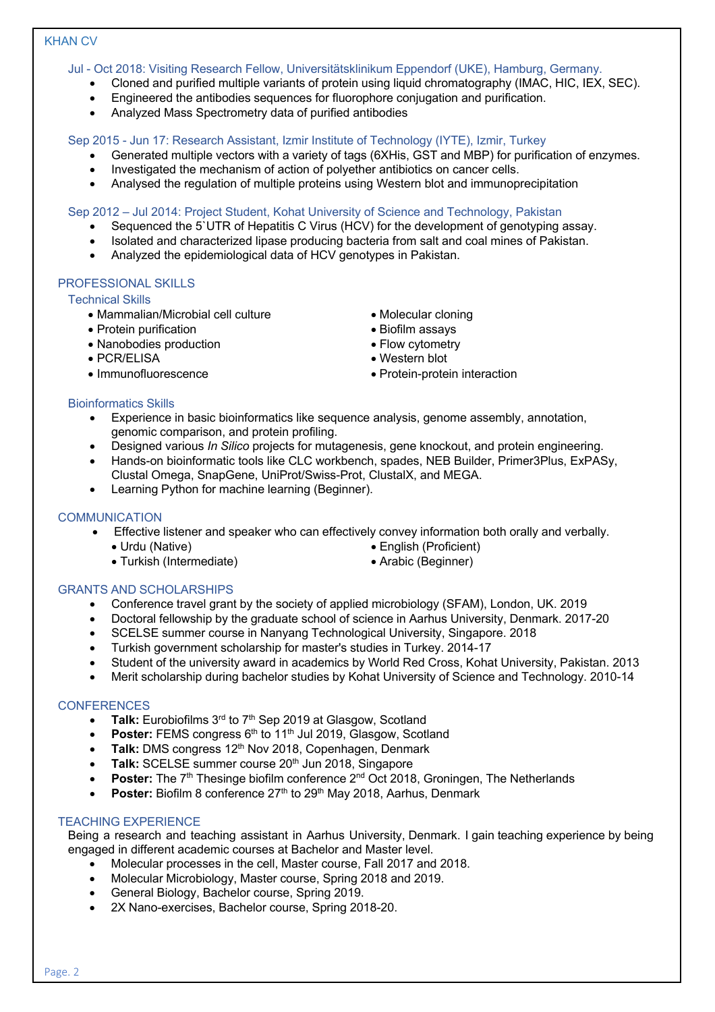# KHAN CV

Jul - Oct 2018: Visiting Research Fellow, Universitätsklinikum Eppendorf (UKE), Hamburg, Germany.

- Cloned and purified multiple variants of protein using liquid chromatography (IMAC, HIC, IEX, SEC).
- Engineered the antibodies sequences for fluorophore conjugation and purification.
- Analyzed Mass Spectrometry data of purified antibodies

Sep 2015 - Jun 17: Research Assistant, Izmir Institute of Technology (IYTE), Izmir, Turkey

- Generated multiple vectors with a variety of tags (6XHis, GST and MBP) for purification of enzymes.
- Investigated the mechanism of action of polyether antibiotics on cancer cells.
- Analysed the regulation of multiple proteins using Western blot and immunoprecipitation

Sep 2012 – Jul 2014: Project Student, Kohat University of Science and Technology, Pakistan

- Sequenced the 5`UTR of Hepatitis C Virus (HCV) for the development of genotyping assay.
- Isolated and characterized lipase producing bacteria from salt and coal mines of Pakistan.
- Analyzed the epidemiological data of HCV genotypes in Pakistan.

# PROFESSIONAL SKILLS

# Technical Skills

- Mammalian/Microbial cell culture Molecular cloning
- Protein purification Biofilm assays
- Nanobodies production  **Flow cytometry**
- PCR/ELISA Western blot
- 
- 
- 
- 
- 
- Immunofluorescence Protein-protein interaction

### Bioinformatics Skills

- Experience in basic bioinformatics like sequence analysis, genome assembly, annotation, genomic comparison, and protein profiling.
- Designed various *In Silico* projects for mutagenesis, gene knockout, and protein engineering.
- Hands-on bioinformatic tools like CLC workbench, spades, NEB Builder, Primer3Plus, ExPASy, Clustal Omega, SnapGene, UniProt/Swiss-Prot, ClustalX, and MEGA.
- Learning Python for machine learning (Beginner).

# **COMMUNICATION**

- Effective listener and speaker who can effectively convey information both orally and verbally.
	- Urdu (Native) English (Proficient)
	- Turkish (Intermediate) Arabic (Beginner)
- GRANTS AND SCHOLARSHIPS
- 
- Conference travel grant by the society of applied microbiology (SFAM), London, UK. 2019
- Doctoral fellowship by the graduate school of science in Aarhus University, Denmark. 2017-20
- SCELSE summer course in Nanyang Technological University, Singapore. 2018
- Turkish government scholarship for master's studies in Turkey. 2014-17
- Student of the university award in academics by World Red Cross, Kohat University, Pakistan. 2013
- Merit scholarship during bachelor studies by Kohat University of Science and Technology. 2010-14

# **CONFERENCES**

- **Talk:** Eurobiofilms 3<sup>rd</sup> to 7<sup>th</sup> Sep 2019 at Glasgow, Scotland
- **Poster:** FEMS congress 6<sup>th</sup> to 11<sup>th</sup> Jul 2019, Glasgow, Scotland
- **Talk:** DMS congress 12<sup>th</sup> Nov 2018, Copenhagen, Denmark
- Talk: SCELSE summer course 20<sup>th</sup> Jun 2018, Singapore
- **Poster:** The 7<sup>th</sup> Thesinge biofilm conference 2<sup>nd</sup> Oct 2018, Groningen, The Netherlands
- **Poster:** Biofilm 8 conference 27<sup>th</sup> to 29<sup>th</sup> May 2018, Aarhus, Denmark

# TEACHING EXPERIENCE

Being a research and teaching assistant in Aarhus University, Denmark. I gain teaching experience by being engaged in different academic courses at Bachelor and Master level.

- Molecular processes in the cell, Master course, Fall 2017 and 2018.
- Molecular Microbiology, Master course, Spring 2018 and 2019.
- General Biology, Bachelor course, Spring 2019.
- 2X Nano-exercises, Bachelor course, Spring 2018-20.